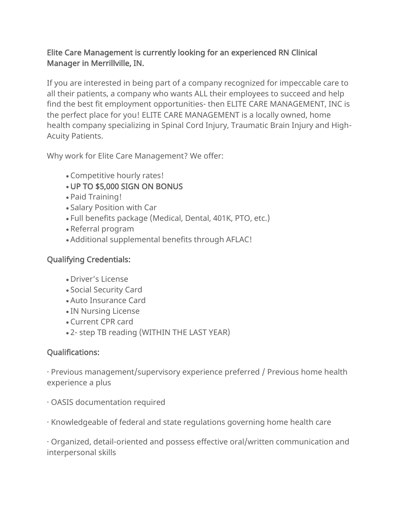## Elite Care Management is currently looking for an experienced RN Clinical Manager in Merrillville, IN.

If you are interested in being part of a company recognized for impeccable care to all their patients, a company who wants ALL their employees to succeed and help find the best fit employment opportunities- then ELITE CARE MANAGEMENT, INC is the perfect place for you! ELITE CARE MANAGEMENT is a locally owned, home health company specializing in Spinal Cord Injury, Traumatic Brain Injury and High-Acuity Patients.

Why work for Elite Care Management? We offer:

- Competitive hourly rates!
- UP TO \$5,000 SIGN ON BONUS
- Paid Training!
- Salary Position with Car
- Full benefits package (Medical, Dental, 401K, PTO, etc.)
- Referral program
- Additional supplemental benefits through AFLAC!

## Qualifying Credentials:

- Driver's License
- Social Security Card
- Auto Insurance Card
- IN Nursing License
- Current CPR card
- 2- step TB reading (WITHIN THE LAST YEAR)

## Qualifications:

· Previous management/supervisory experience preferred / Previous home health experience a plus

· OASIS documentation required

· Knowledgeable of federal and state regulations governing home health care

· Organized, detail-oriented and possess effective oral/written communication and interpersonal skills